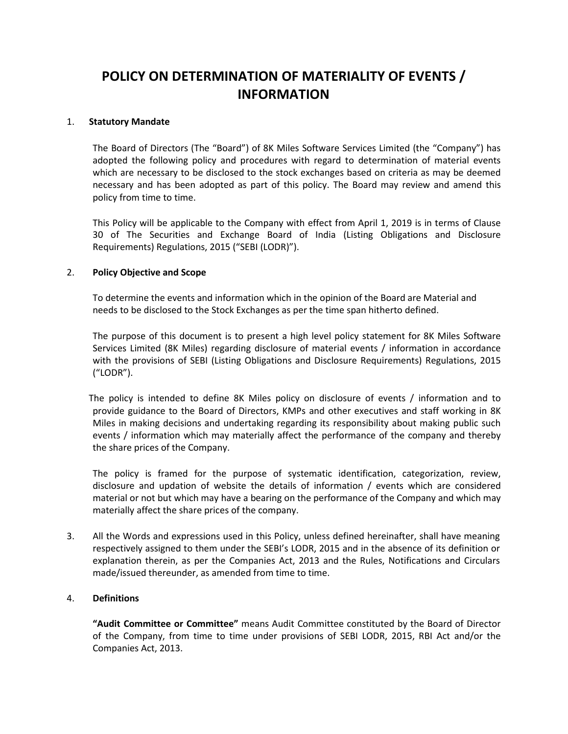# **POLICY ON DETERMINATION OF MATERIALITY OF EVENTS / INFORMATION**

## 1. **Statutory Mandate**

The Board of Directors (The "Board") of 8K Miles Software Services Limited (the "Company") has adopted the following policy and procedures with regard to determination of material events which are necessary to be disclosed to the stock exchanges based on criteria as may be deemed necessary and has been adopted as part of this policy. The Board may review and amend this policy from time to time.

This Policy will be applicable to the Company with effect from April 1, 2019 is in terms of Clause 30 of The Securities and Exchange Board of India (Listing Obligations and Disclosure Requirements) Regulations, 2015 ("SEBI (LODR)").

# 2. **Policy Objective and Scope**

To determine the events and information which in the opinion of the Board are Material and needs to be disclosed to the Stock Exchanges as per the time span hitherto defined.

The purpose of this document is to present a high level policy statement for 8K Miles Software Services Limited (8K Miles) regarding disclosure of material events / information in accordance with the provisions of SEBI (Listing Obligations and Disclosure Requirements) Regulations, 2015 ("LODR").

The policy is intended to define 8K Miles policy on disclosure of events / information and to provide guidance to the Board of Directors, KMPs and other executives and staff working in 8K Miles in making decisions and undertaking regarding its responsibility about making public such events / information which may materially affect the performance of the company and thereby the share prices of the Company.

The policy is framed for the purpose of systematic identification, categorization, review, disclosure and updation of website the details of information / events which are considered material or not but which may have a bearing on the performance of the Company and which may materially affect the share prices of the company.

3. All the Words and expressions used in this Policy, unless defined hereinafter, shall have meaning respectively assigned to them under the SEBI's LODR, 2015 and in the absence of its definition or explanation therein, as per the Companies Act, 2013 and the Rules, Notifications and Circulars made/issued thereunder, as amended from time to time.

#### 4. **Definitions**

**"Audit Committee or Committee"** means Audit Committee constituted by the Board of Director of the Company, from time to time under provisions of SEBI LODR, 2015, RBI Act and/or the Companies Act, 2013.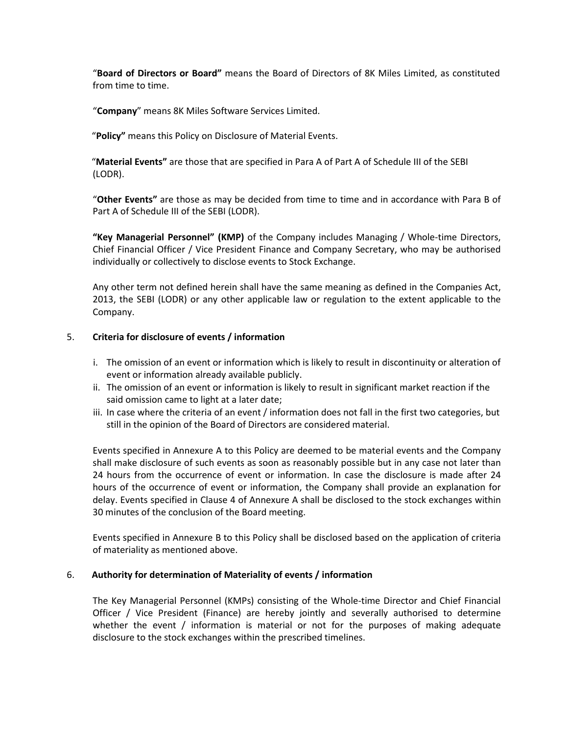"**Board of Directors or Board"** means the Board of Directors of 8K Miles Limited, as constituted from time to time.

"**Company**" means 8K Miles Software Services Limited.

"**Policy"** means this Policy on Disclosure of Material Events.

"**Material Events"** are those that are specified in Para A of Part A of Schedule III of the SEBI (LODR).

"**Other Events"** are those as may be decided from time to time and in accordance with Para B of Part A of Schedule III of the SEBI (LODR).

**"Key Managerial Personnel" (KMP)** of the Company includes Managing / Whole-time Directors, Chief Financial Officer / Vice President Finance and Company Secretary, who may be authorised individually or collectively to disclose events to Stock Exchange.

Any other term not defined herein shall have the same meaning as defined in the Companies Act, 2013, the SEBI (LODR) or any other applicable law or regulation to the extent applicable to the Company.

## 5. **Criteria for disclosure of events / information**

- i. The omission of an event or information which is likely to result in discontinuity or alteration of event or information already available publicly.
- ii. The omission of an event or information is likely to result in significant market reaction if the said omission came to light at a later date;
- iii. In case where the criteria of an event / information does not fall in the first two categories, but still in the opinion of the Board of Directors are considered material.

Events specified in Annexure A to this Policy are deemed to be material events and the Company shall make disclosure of such events as soon as reasonably possible but in any case not later than 24 hours from the occurrence of event or information. In case the disclosure is made after 24 hours of the occurrence of event or information, the Company shall provide an explanation for delay. Events specified in Clause 4 of Annexure A shall be disclosed to the stock exchanges within 30 minutes of the conclusion of the Board meeting.

Events specified in Annexure B to this Policy shall be disclosed based on the application of criteria of materiality as mentioned above.

#### 6. **Authority for determination of Materiality of events / information**

The Key Managerial Personnel (KMPs) consisting of the Whole-time Director and Chief Financial Officer / Vice President (Finance) are hereby jointly and severally authorised to determine whether the event / information is material or not for the purposes of making adequate disclosure to the stock exchanges within the prescribed timelines.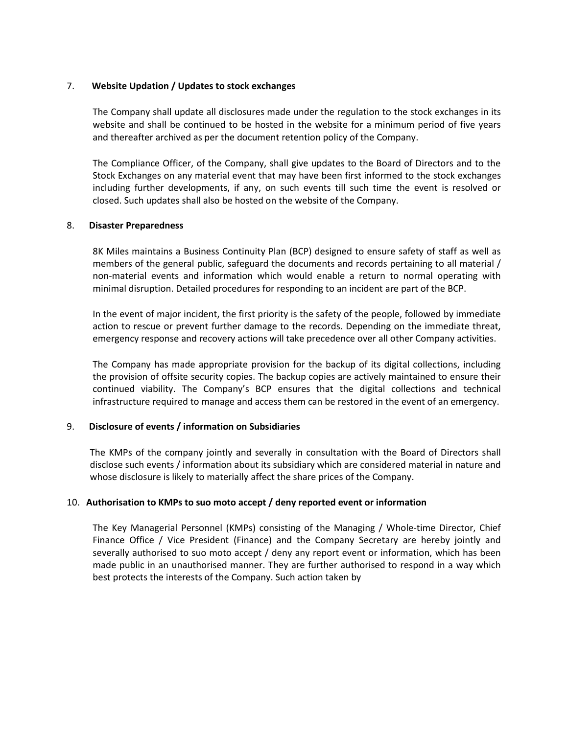## 7. **Website Updation / Updates to stock exchanges**

The Company shall update all disclosures made under the regulation to the stock exchanges in its website and shall be continued to be hosted in the website for a minimum period of five years and thereafter archived as per the document retention policy of the Company.

The Compliance Officer, of the Company, shall give updates to the Board of Directors and to the Stock Exchanges on any material event that may have been first informed to the stock exchanges including further developments, if any, on such events till such time the event is resolved or closed. Such updates shall also be hosted on the website of the Company.

## 8. **Disaster Preparedness**

8K Miles maintains a Business Continuity Plan (BCP) designed to ensure safety of staff as well as members of the general public, safeguard the documents and records pertaining to all material / non-material events and information which would enable a return to normal operating with minimal disruption. Detailed procedures for responding to an incident are part of the BCP.

In the event of major incident, the first priority is the safety of the people, followed by immediate action to rescue or prevent further damage to the records. Depending on the immediate threat, emergency response and recovery actions will take precedence over all other Company activities.

The Company has made appropriate provision for the backup of its digital collections, including the provision of offsite security copies. The backup copies are actively maintained to ensure their continued viability. The Company's BCP ensures that the digital collections and technical infrastructure required to manage and access them can be restored in the event of an emergency.

# 9. **Disclosure of events / information on Subsidiaries**

The KMPs of the company jointly and severally in consultation with the Board of Directors shall disclose such events / information about its subsidiary which are considered material in nature and whose disclosure is likely to materially affect the share prices of the Company.

# 10. **Authorisation to KMPs to suo moto accept / deny reported event or information**

The Key Managerial Personnel (KMPs) consisting of the Managing / Whole-time Director, Chief Finance Office / Vice President (Finance) and the Company Secretary are hereby jointly and severally authorised to suo moto accept / deny any report event or information, which has been made public in an unauthorised manner. They are further authorised to respond in a way which best protects the interests of the Company. Such action taken by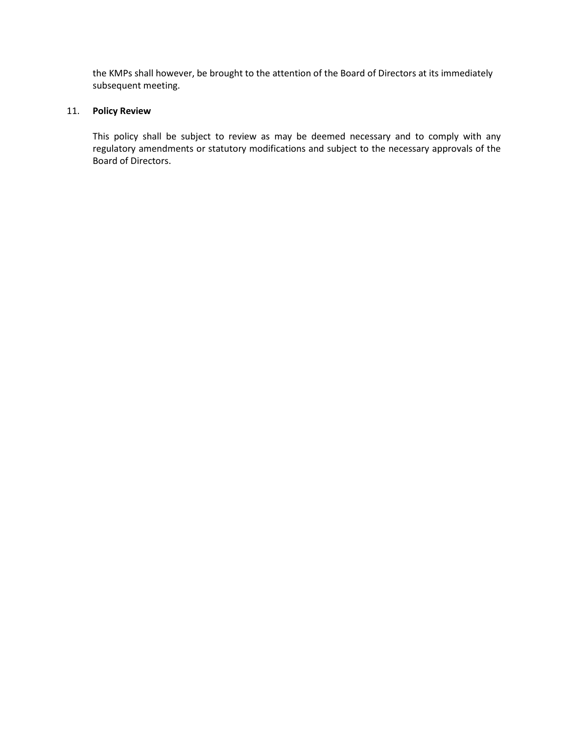the KMPs shall however, be brought to the attention of the Board of Directors at its immediately subsequent meeting.

## 11. **Policy Review**

This policy shall be subject to review as may be deemed necessary and to comply with any regulatory amendments or statutory modifications and subject to the necessary approvals of the Board of Directors.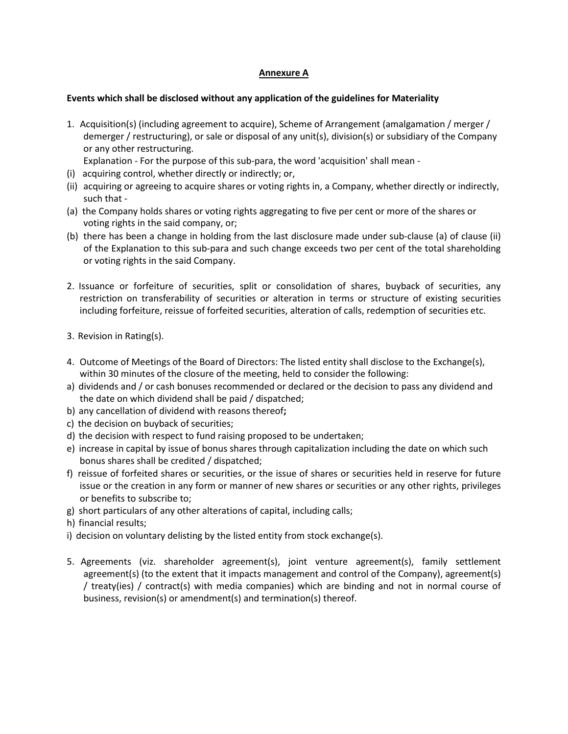# **Annexure A**

#### **Events which shall be disclosed without any application of the guidelines for Materiality**

1. Acquisition(s) (including agreement to acquire), Scheme of Arrangement (amalgamation / merger / demerger / restructuring), or sale or disposal of any unit(s), division(s) or subsidiary of the Company or any other restructuring.

Explanation - For the purpose of this sub-para, the word 'acquisition' shall mean -

- (i) acquiring control, whether directly or indirectly; or,
- (ii) acquiring or agreeing to acquire shares or voting rights in, a Company, whether directly or indirectly, such that -
- (a) the Company holds shares or voting rights aggregating to five per cent or more of the shares or voting rights in the said company, or;
- (b) there has been a change in holding from the last disclosure made under sub-clause (a) of clause (ii) of the Explanation to this sub-para and such change exceeds two per cent of the total shareholding or voting rights in the said Company.
- 2. Issuance or forfeiture of securities, split or consolidation of shares, buyback of securities, any restriction on transferability of securities or alteration in terms or structure of existing securities including forfeiture, reissue of forfeited securities, alteration of calls, redemption of securities etc.
- 3. Revision in Rating(s).
- 4. Outcome of Meetings of the Board of Directors: The listed entity shall disclose to the Exchange(s), within 30 minutes of the closure of the meeting, held to consider the following:
- a) dividends and / or cash bonuses recommended or declared or the decision to pass any dividend and the date on which dividend shall be paid / dispatched;
- b) any cancellation of dividend with reasons thereof**;**
- c) the decision on buyback of securities;
- d) the decision with respect to fund raising proposed to be undertaken;
- e) increase in capital by issue of bonus shares through capitalization including the date on which such bonus shares shall be credited / dispatched;
- f) reissue of forfeited shares or securities, or the issue of shares or securities held in reserve for future issue or the creation in any form or manner of new shares or securities or any other rights, privileges or benefits to subscribe to;
- g) short particulars of any other alterations of capital, including calls;
- h) financial results;
- i) decision on voluntary delisting by the listed entity from stock exchange(s).
- 5. Agreements (viz. shareholder agreement(s), joint venture agreement(s), family settlement agreement(s) (to the extent that it impacts management and control of the Company), agreement(s) / treaty(ies) / contract(s) with media companies) which are binding and not in normal course of business, revision(s) or amendment(s) and termination(s) thereof.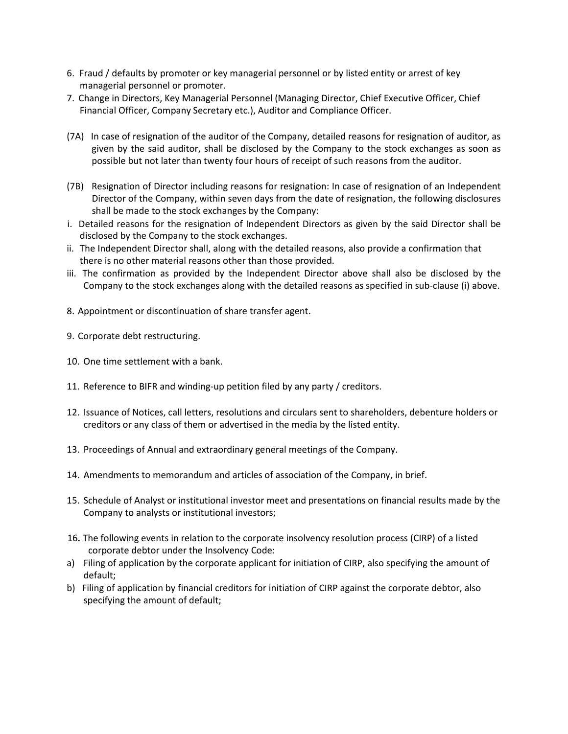- 6. Fraud / defaults by promoter or key managerial personnel or by listed entity or arrest of key managerial personnel or promoter.
- 7. Change in Directors, Key Managerial Personnel (Managing Director, Chief Executive Officer, Chief Financial Officer, Company Secretary etc.), Auditor and Compliance Officer.
- (7A) In case of resignation of the auditor of the Company, detailed reasons for resignation of auditor, as given by the said auditor, shall be disclosed by the Company to the stock exchanges as soon as possible but not later than twenty four hours of receipt of such reasons from the auditor.
- (7B) Resignation of Director including reasons for resignation: In case of resignation of an Independent Director of the Company, within seven days from the date of resignation, the following disclosures shall be made to the stock exchanges by the Company:
- i. Detailed reasons for the resignation of Independent Directors as given by the said Director shall be disclosed by the Company to the stock exchanges.
- ii. The Independent Director shall, along with the detailed reasons, also provide a confirmation that there is no other material reasons other than those provided.
- iii. The confirmation as provided by the Independent Director above shall also be disclosed by the Company to the stock exchanges along with the detailed reasons as specified in sub-clause (i) above.
- 8. Appointment or discontinuation of share transfer agent.
- 9. Corporate debt restructuring.
- 10. One time settlement with a bank.
- 11. Reference to BIFR and winding-up petition filed by any party / creditors.
- 12. Issuance of Notices, call letters, resolutions and circulars sent to shareholders, debenture holders or creditors or any class of them or advertised in the media by the listed entity.
- 13. Proceedings of Annual and extraordinary general meetings of the Company.
- 14. Amendments to memorandum and articles of association of the Company, in brief.
- 15. Schedule of Analyst or institutional investor meet and presentations on financial results made by the Company to analysts or institutional investors;
- 16**.** The following events in relation to the corporate insolvency resolution process (CIRP) of a listed corporate debtor under the Insolvency Code:
- a) Filing of application by the corporate applicant for initiation of CIRP, also specifying the amount of default;
- b) Filing of application by financial creditors for initiation of CIRP against the corporate debtor, also specifying the amount of default;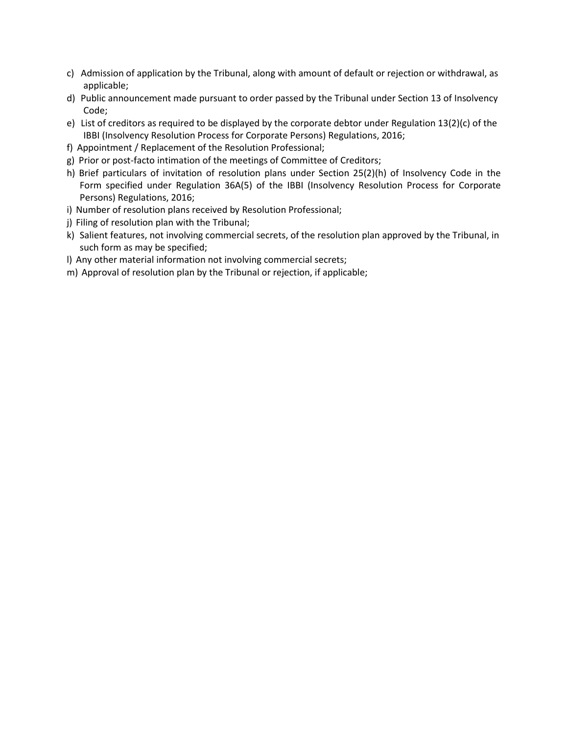- c) Admission of application by the Tribunal, along with amount of default or rejection or withdrawal, as applicable;
- d) Public announcement made pursuant to order passed by the Tribunal under Section 13 of Insolvency Code;
- e) List of creditors as required to be displayed by the corporate debtor under Regulation 13(2)(c) of the IBBI (Insolvency Resolution Process for Corporate Persons) Regulations, 2016;
- f) Appointment / Replacement of the Resolution Professional;
- g) Prior or post-facto intimation of the meetings of Committee of Creditors;
- h) Brief particulars of invitation of resolution plans under Section 25(2)(h) of Insolvency Code in the Form specified under Regulation 36A(5) of the IBBI (Insolvency Resolution Process for Corporate Persons) Regulations, 2016;
- i) Number of resolution plans received by Resolution Professional;
- j) Filing of resolution plan with the Tribunal;
- k) Salient features, not involving commercial secrets, of the resolution plan approved by the Tribunal, in such form as may be specified;
- l) Any other material information not involving commercial secrets;
- m) Approval of resolution plan by the Tribunal or rejection, if applicable;